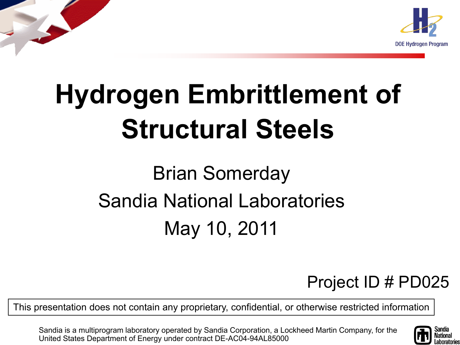

# **Hydrogen Embrittlement of Structural Steels**

### Brian Somerday Sandia National Laboratories May 10, 2011

#### Project ID # PD025

This presentation does not contain any proprietary, confidential, or otherwise restricted information

Sandia is a multiprogram laboratory operated by Sandia Corporation, a Lockheed Martin Company, for the United States Department of Energy under contract DE-AC04-94AL85000

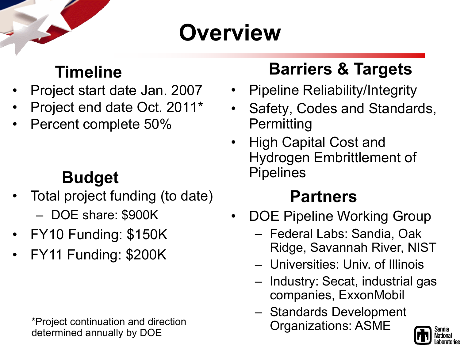### **Overview**

#### **Timeline**

- Project start date Jan. 2007
- Project end date Oct. 2011\*
- Percent complete 50%

#### **Budget**

- Total project funding (to date)
	- DOE share: \$900K
- FY10 Funding: \$150K
- FY11 Funding: \$200K

\*Project continuation and direction determined annually by DOE

#### **Barriers & Targets**

- Pipeline Reliability/Integrity
- Safety, Codes and Standards, **Permitting**
- High Capital Cost and Hydrogen Embrittlement of Pipelines

#### **Partners**

- DOE Pipeline Working Group
	- Federal Labs: Sandia, Oak Ridge, Savannah River, NIST
	- Universities: Univ. of Illinois
	- Industry: Secat, industrial gas companies, ExxonMobil
	- Standards Development Organizations: ASME

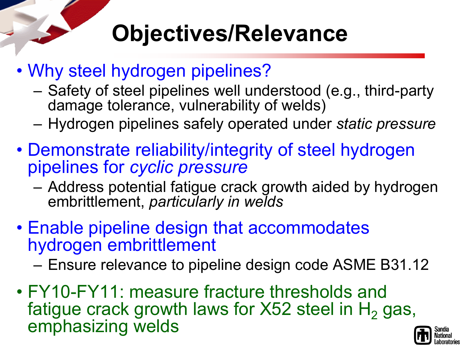## **Objectives/Relevance**

- Why steel hydrogen pipelines?
	- Safety of steel pipelines well understood (e.g., third-party damage tolerance, vulnerability of welds)
	- Hydrogen pipelines safely operated under *static pressure*
- Demonstrate reliability/integrity of steel hydrogen pipelines for *cyclic pressure*
	- Address potential fatigue crack growth aided by hydrogen embrittlement, *particularly in welds*
- Enable pipeline design that accommodates hydrogen embrittlement
	- Ensure relevance to pipeline design code ASME B31.12
- FY10-FY11: measure fracture thresholds and fatigue crack growth laws for  $X52$  steel in  $H<sub>2</sub>$  gas, emphasizing welds

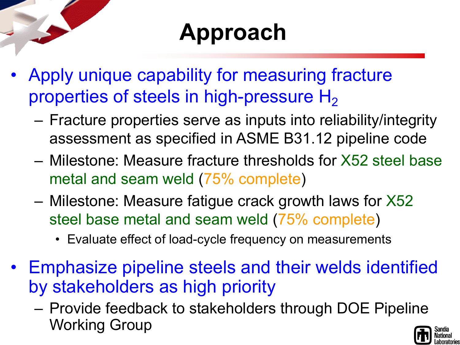### **Approach**

- Apply unique capability for measuring fracture properties of steels in high-pressure  $H_2$ 
	- Fracture properties serve as inputs into reliability/integrity assessment as specified in ASME B31.12 pipeline code
	- Milestone: Measure fracture thresholds for X52 steel base metal and seam weld (75% complete)
	- Milestone: Measure fatigue crack growth laws for X52 steel base metal and seam weld (75% complete)
		- Evaluate effect of load-cycle frequency on measurements
- Emphasize pipeline steels and their welds identified by stakeholders as high priority
	- Provide feedback to stakeholders through DOE Pipeline Working Group

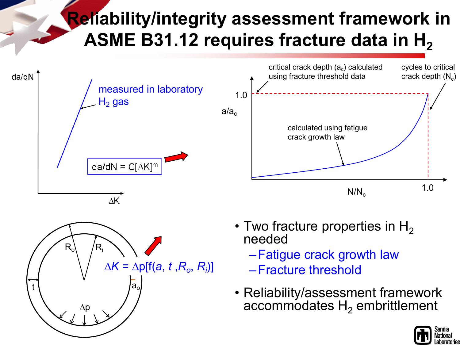#### **Reliability/integrity assessment framework in**  ASME B31.12 requires fracture data in H<sub>2</sub>





- Two fracture properties in  $H_2$ needed
	- –Fatigue crack growth law
	- –Fracture threshold
- Reliability/assessment framework accommodates  $H<sub>2</sub>$  embrittlement



1.0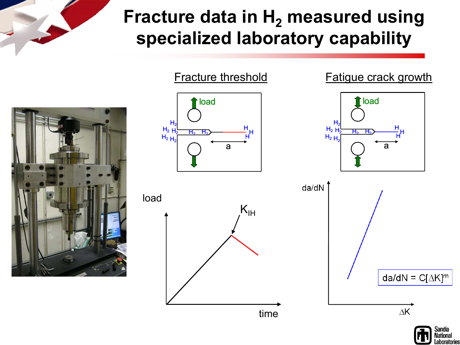#### **Fracture data in H<sub>2</sub> measured using specialized laboratory capability**



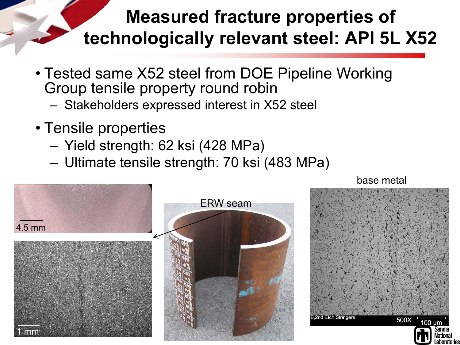#### **Measured fracture properties of technologically relevant steel: API 5L X52**

- Tested same X52 steel from DOE Pipeline Working Group tensile property round robin
	- Stakeholders expressed interest in X52 steel
- Tensile properties
	- Yield strength: 62 ksi (428 MPa)
	- Ultimate tensile strength: 70 ksi (483 MPa)



base metal

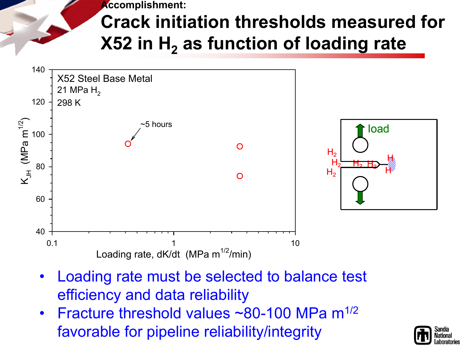**Accomplishment:**

### **Crack initiation thresholds measured for X52 in H<sub>2</sub> as function of loading rate**



- Loading rate must be selected to balance test efficiency and data reliability
- Fracture threshold values  $\sim$ 80-100 MPa m<sup>1/2</sup> favorable for pipeline reliability/integrity

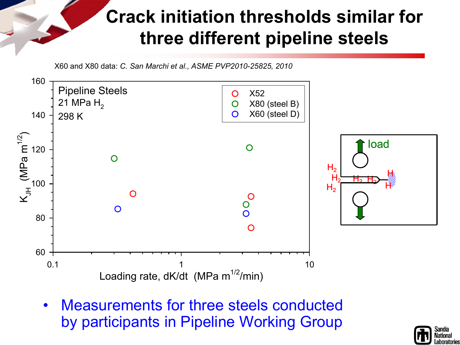#### **Crack initiation thresholds similar for three different pipeline steels**

X60 and X80 data: *C. San Marchi et al., ASME PVP2010-25825, 2010*



• Measurements for three steels conducted by participants in Pipeline Working Group

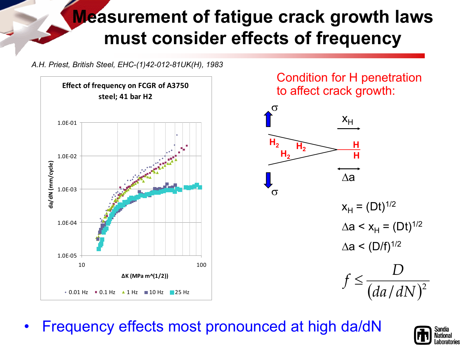#### **Measurement of fatigue crack growth laws must consider effects of frequency**

*A.H. Priest, British Steel, EHC-(1)42-012-81UK(H), 1983*



Condition for H penetration to affect crack growth:



• Frequency effects most pronounced at high da/dN

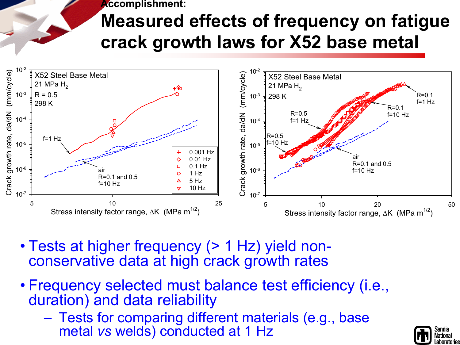**Accomplishment:**

### **Measured effects of frequency on fatigue crack growth laws for X52 base metal**



- Tests at higher frequency (> 1 Hz) yield non- conservative data at high crack growth rates
- Frequency selected must balance test efficiency (i.e., duration) and data reliability
	- Tests for comparing different materials (e.g., base metal *vs* welds) conducted at 1 Hz

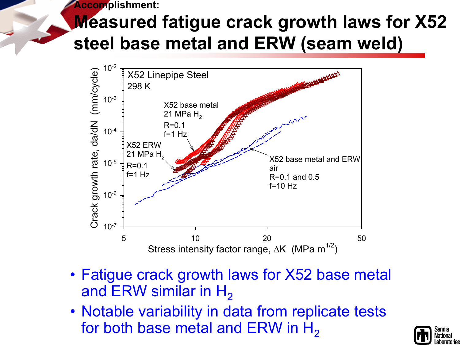**Accomplishment:**

### **Measured fatigue crack growth laws for X52 steel base metal and ERW (seam weld)**



- Fatigue crack growth laws for X52 base metal and ERW similar in  $H_2$
- Notable variability in data from replicate tests for both base metal and ERW in  $H_2$

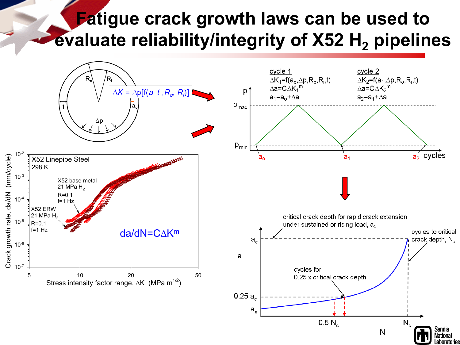#### **Fatigue crack growth laws can be used to evaluate reliability/integrity of X52 H<sub>2</sub> pipelines**

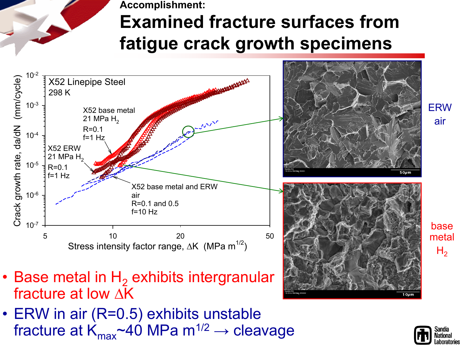**Accomplishment: Examined fracture surfaces from fatigue crack growth specimens**



- Base metal in  $H_2$  exhibits intergranular fracture at low ∆K
- ERW in air (R=0.5) exhibits unstable fracture at  $K_{\text{max}}$ ~40 MPa m<sup>1/2</sup>  $\rightarrow$  cleavage



 $H<sub>2</sub>$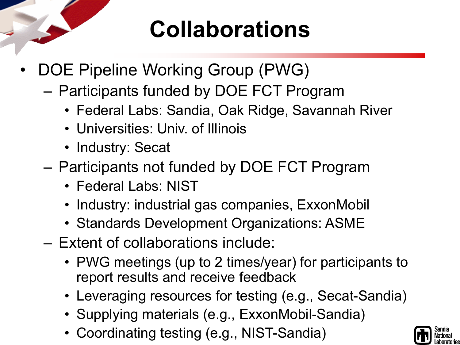### **Collaborations**

- DOE Pipeline Working Group (PWG)
	- Participants funded by DOE FCT Program
		- Federal Labs: Sandia, Oak Ridge, Savannah River
		- Universities: Univ. of Illinois
		- Industry: Secat
	- Participants not funded by DOE FCT Program
		- Federal Labs: NIST
		- Industry: industrial gas companies, ExxonMobil
		- Standards Development Organizations: ASME
	- Extent of collaborations include:
		- PWG meetings (up to 2 times/year) for participants to report results and receive feedback
		- Leveraging resources for testing (e.g., Secat-Sandia)
		- Supplying materials (e.g., ExxonMobil-Sandia)
		- Coordinating testing (e.g., NIST-Sandia)

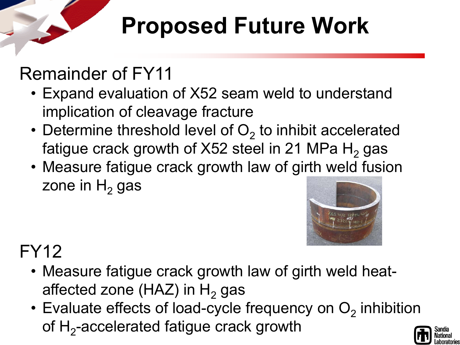## **Proposed Future Work**

### Remainder of FY11

- Expand evaluation of X52 seam weld to understand implication of cleavage fracture
- Determine threshold level of  $O<sub>2</sub>$  to inhibit accelerated fatigue crack growth of  $X52$  steel in 21 MPa H<sub>2</sub> gas
- Measure fatigue crack growth law of girth weld fusion zone in  $H<sub>2</sub>$  gas



#### FY12

- Measure fatigue crack growth law of girth weld heataffected zone (HAZ) in  $H<sub>2</sub>$  gas
- Evaluate effects of load-cycle frequency on  $O<sub>2</sub>$  inhibition of  $H_2$ -accelerated fatigue crack growth